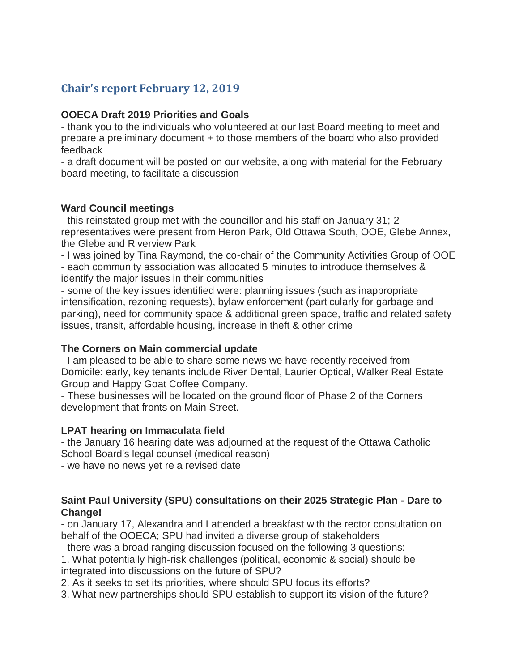# **Chair's report February 12, 2019**

#### **OOECA Draft 2019 Priorities and Goals**

- thank you to the individuals who volunteered at our last Board meeting to meet and prepare a preliminary document + to those members of the board who also provided feedback

- a draft document will be posted on our website, along with material for the February board meeting, to facilitate a discussion

#### **Ward Council meetings**

- this reinstated group met with the councillor and his staff on January 31; 2 representatives were present from Heron Park, Old Ottawa South, OOE, Glebe Annex, the Glebe and Riverview Park

- I was joined by Tina Raymond, the co-chair of the Community Activities Group of OOE - each community association was allocated 5 minutes to introduce themselves & identify the major issues in their communities

- some of the key issues identified were: planning issues (such as inappropriate intensification, rezoning requests), bylaw enforcement (particularly for garbage and parking), need for community space & additional green space, traffic and related safety issues, transit, affordable housing, increase in theft & other crime

## **The Corners on Main commercial update**

- I am pleased to be able to share some news we have recently received from Domicile: early, key tenants include River Dental, Laurier Optical, Walker Real Estate Group and Happy Goat Coffee Company.

- These businesses will be located on the ground floor of Phase 2 of the Corners development that fronts on Main Street.

## **LPAT hearing on Immaculata field**

- the January 16 hearing date was adjourned at the request of the Ottawa Catholic School Board's legal counsel (medical reason)

- we have no news yet re a revised date

#### **Saint Paul University (SPU) consultations on their 2025 Strategic Plan - Dare to Change!**

- on January 17, Alexandra and I attended a breakfast with the rector consultation on behalf of the OOECA; SPU had invited a diverse group of stakeholders

- there was a broad ranging discussion focused on the following 3 questions:

1. What potentially high-risk challenges (political, economic & social) should be integrated into discussions on the future of SPU?

2. As it seeks to set its priorities, where should SPU focus its efforts?

3. What new partnerships should SPU establish to support its vision of the future?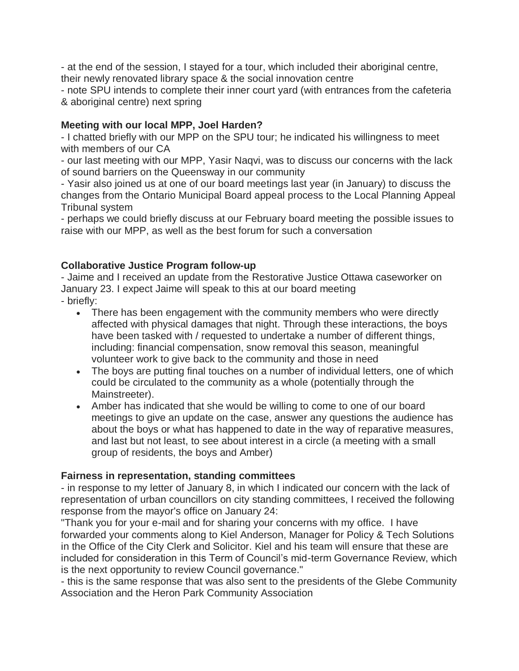- at the end of the session, I stayed for a tour, which included their aboriginal centre, their newly renovated library space & the social innovation centre

- note SPU intends to complete their inner court yard (with entrances from the cafeteria & aboriginal centre) next spring

## **Meeting with our local MPP, Joel Harden?**

- I chatted briefly with our MPP on the SPU tour; he indicated his willingness to meet with members of our CA

- our last meeting with our MPP, Yasir Naqvi, was to discuss our concerns with the lack of sound barriers on the Queensway in our community

- Yasir also joined us at one of our board meetings last year (in January) to discuss the changes from the Ontario Municipal Board appeal process to the Local Planning Appeal Tribunal system

- perhaps we could briefly discuss at our February board meeting the possible issues to raise with our MPP, as well as the best forum for such a conversation

#### **Collaborative Justice Program follow-up**

- Jaime and I received an update from the Restorative Justice Ottawa caseworker on January 23. I expect Jaime will speak to this at our board meeting

- briefly:
	- There has been engagement with the community members who were directly affected with physical damages that night. Through these interactions, the boys have been tasked with / requested to undertake a number of different things, including: financial compensation, snow removal this season, meaningful volunteer work to give back to the community and those in need
	- The boys are putting final touches on a number of individual letters, one of which could be circulated to the community as a whole (potentially through the Mainstreeter).
	- Amber has indicated that she would be willing to come to one of our board meetings to give an update on the case, answer any questions the audience has about the boys or what has happened to date in the way of reparative measures, and last but not least, to see about interest in a circle (a meeting with a small group of residents, the boys and Amber)

#### **Fairness in representation, standing committees**

- in response to my letter of January 8, in which I indicated our concern with the lack of representation of urban councillors on city standing committees, I received the following response from the mayor's office on January 24:

"Thank you for your e-mail and for sharing your concerns with my office. I have forwarded your comments along to Kiel Anderson, Manager for Policy & Tech Solutions in the Office of the City Clerk and Solicitor. Kiel and his team will ensure that these are included for consideration in this Term of Council's mid-term Governance Review, which is the next opportunity to review Council governance."

- this is the same response that was also sent to the presidents of the Glebe Community Association and the Heron Park Community Association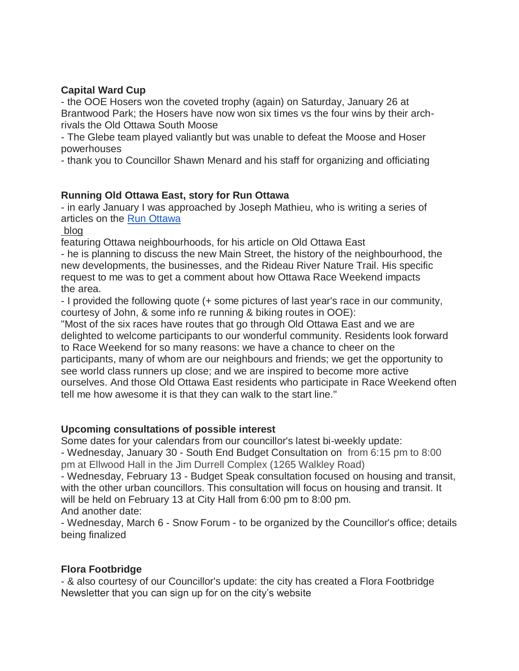## **Capital Ward Cup**

- the OOE Hosers won the coveted trophy (again) on Saturday, January 26 at Brantwood Park; the Hosers have now won six times vs the four wins by their archrivals the Old Ottawa South Moose

- The Glebe team played valiantly but was unable to defeat the Moose and Hoser powerhouses

- thank you to Councillor Shawn Menard and his staff for organizing and officiating

## **Running Old Ottawa East, story for Run Ottawa**

- in early January I was approached by Joseph Mathieu, who is writing a series of articles on the [Run Ottawa](https://www.runottawa.ca/run-new-edinburgh-a-beacon-of-support-for-marathon-runners)

blog

featuring Ottawa neighbourhoods, for his article on Old Ottawa East

- he is planning to discuss the new Main Street, the history of the neighbourhood, the new developments, the businesses, and the Rideau River Nature Trail. His specific request to me was to get a comment about how Ottawa Race Weekend impacts the area.

- I provided the following quote (+ some pictures of last year's race in our community, courtesy of John, & some info re running & biking routes in OOE):

"Most of the six races have routes that go through Old Ottawa East and we are delighted to welcome participants to our wonderful community. Residents look forward to Race Weekend for so many reasons: we have a chance to cheer on the participants, many of whom are our neighbours and friends; we get the opportunity to see world class runners up close; and we are inspired to become more active ourselves. And those Old Ottawa East residents who participate in Race Weekend often tell me how awesome it is that they can walk to the start line."

## **Upcoming consultations of possible interest**

Some dates for your calendars from our councillor's latest bi-weekly update:

- Wednesday, January 30 - South End Budget Consultation on from 6:15 pm to 8:00 pm at Ellwood Hall in the Jim Durrell Complex (1265 Walkley Road)

- Wednesday, February 13 - Budget Speak consultation focused on housing and transit, with the other urban councillors. This consultation will focus on housing and transit. It will be held on February 13 at City Hall from 6:00 pm to 8:00 pm. And another date:

- Wednesday, March 6 - Snow Forum - to be organized by the Councillor's office; details being finalized

## **Flora Footbridge**

- & also courtesy of our Councillor's update: the city has created a Flora Footbridge Newsletter that you can sign up for on the city's website